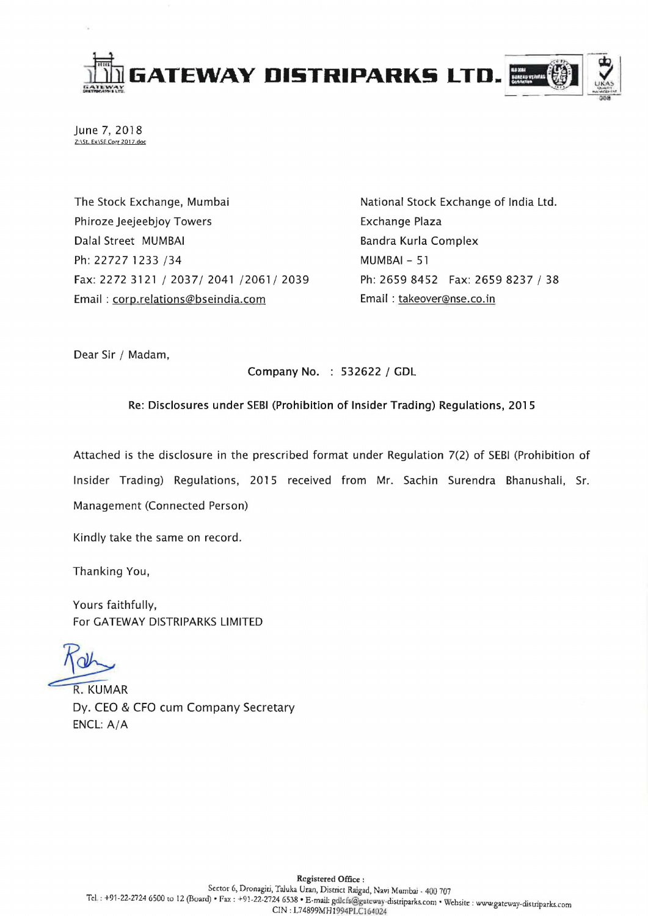

June 7, 2018 Z:\St. Ex\SE Corr 2017.doc

The Stock Exchange, Mumbai Phiroze Jeejeebjoy Towers Dalal Street MUMBAI Ph: 22727 1233 /34 Fax: 2272 3121/2037/2041/2061/2039 Email: corp.relations@bseindia.com

National Stock Exchange of India Ltd. Exchange Plaza Bandra Kurla Complex MUMBAI - 51 Ph: 2659 8452 Fax: 26598237 / 38 Email: takeover@nse.co.in

Dear Sir / Madam,

Company No. : 532622 / GDL

Re: Disclosures under SEBI (Prohibition of Insider Trading) Regulations, 2015

Attached is the disclosure in the prescribed format under Regulation 7(2) of SEBI (Prohibition of Insider Trading) Regulations, 2015 received from Mr. Sachin Surendra Bhanushali, Sr. Management (Connected Person)

Kindly take the same on record.

Thanking You,

Yours faithfully, For GATEWAY DISTRIPARKS LIMITED

**R. KUMAR** Dy. CEO & CFO cum Company Secretary ENCL: A/A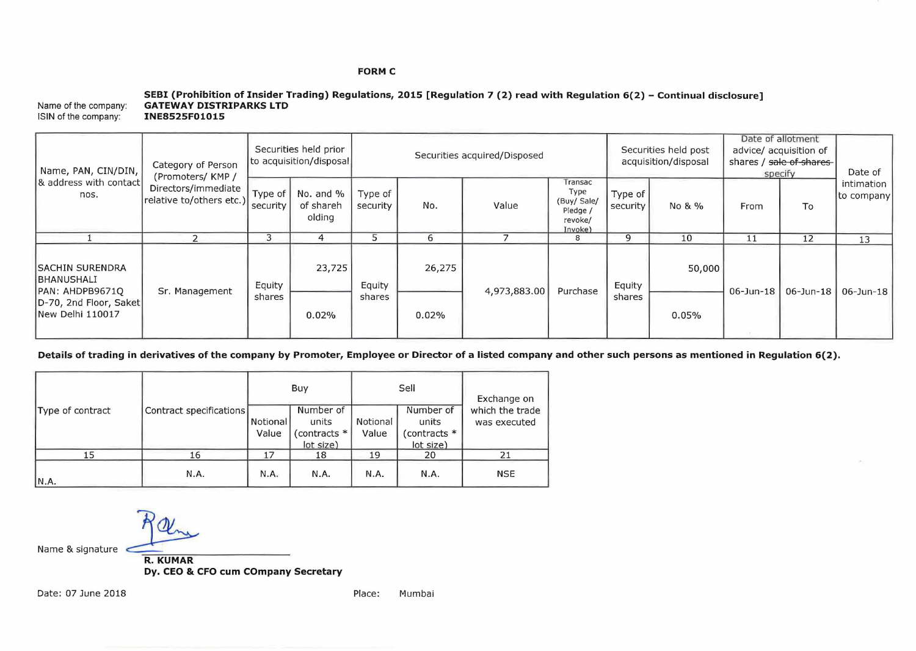# **FORM C**

#### Name of the company: ISIN of the company: **SEBI (Prohibition of Insider Trading) Regulations, 2015 [Regulation 7 (2) read with Regulation 6(2) - Continual disclosure] GATEWAY DISTRIPARKS LTD INE8525F01015**

| Name, PAN, CIN/DIN,<br>8 address with contact<br>nos.                                                         | Category of Person<br>(Promoters/KMP/<br>Directors/immediate<br>(relative to/others etc.) security | Securities held prior<br>to acquisition/disposal |                                  | Securities acquired/Disposed |        |              |                                                                  | Securities held post<br>acquisition/disposal |        | Date of allotment<br>advice/ acquisition of<br>shares / sale of shares<br>specify |                 | Date of                  |
|---------------------------------------------------------------------------------------------------------------|----------------------------------------------------------------------------------------------------|--------------------------------------------------|----------------------------------|------------------------------|--------|--------------|------------------------------------------------------------------|----------------------------------------------|--------|-----------------------------------------------------------------------------------|-----------------|--------------------------|
|                                                                                                               |                                                                                                    | Type of                                          | No. and %<br>of shareh<br>olding | Type of<br>security          | No.    | Value        | Transac<br>Type<br>(Buy/ Sale/<br>Pledge /<br>revoke/<br>Invoke) | Type of<br>security                          | No & % | From                                                                              | To              | intimation<br>to company |
|                                                                                                               |                                                                                                    | 3                                                |                                  |                              | 6      |              | 8                                                                | q                                            | 10     | 11                                                                                | 12              | 13                       |
| <b>ISACHIN SURENDRA</b><br><b>BHANUSHALI</b><br>PAN: AHDPB9671Q<br>D-70, 2nd Floor, Saket<br>New Delhi 110017 | Sr. Management                                                                                     | Equity<br>shares                                 | 23,725                           | Equity<br>shares             | 26,275 | 4,973,883.00 | Purchase                                                         | Equity<br>shares                             | 50,000 | $06$ -Jun-18                                                                      | $06 - Jun - 18$ | $06 - Jun - 18$          |
|                                                                                                               |                                                                                                    |                                                  | 0.02%                            |                              | 0.02%  |              |                                                                  |                                              | 0.05%  |                                                                                   |                 |                          |

**Details of trading in derivatives of the company by Promoter, Employee or Director of a listed company and other such persons as mentioned in Regulation 6(2).** 

|                  |                         |                   | Buy                                              |                   | Sell                                            | Exchange on<br>which the trade<br>was executed |  |
|------------------|-------------------------|-------------------|--------------------------------------------------|-------------------|-------------------------------------------------|------------------------------------------------|--|
| Type of contract | Contract specifications | Notional<br>Value | Number of<br>units<br>(contracts *<br>(lot size) | Notional<br>Value | Number of<br>units<br>(contracts *<br>lot size) |                                                |  |
| 15               | 16                      | 17                | 18                                               | 19                | 20                                              | 2 <sub>1</sub>                                 |  |
| N.A.             | N.A.                    | N.A.              | N.A.                                             | N.A.              | N.A.                                            | <b>NSE</b>                                     |  |

Name & signature **ROUMAR** 

**Dy. CEO & CFO cum COmpany Secretary**